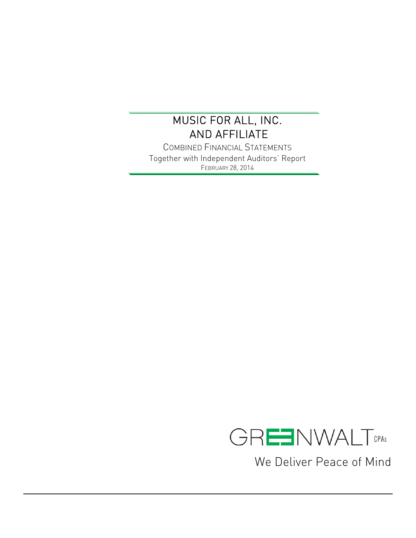$\overline{a}$ 

COMBINED FINANCIAL STATEMENTS Together with Independent Auditors' Report FEBRUARY 28, 2014



We Deliver Peace of Mind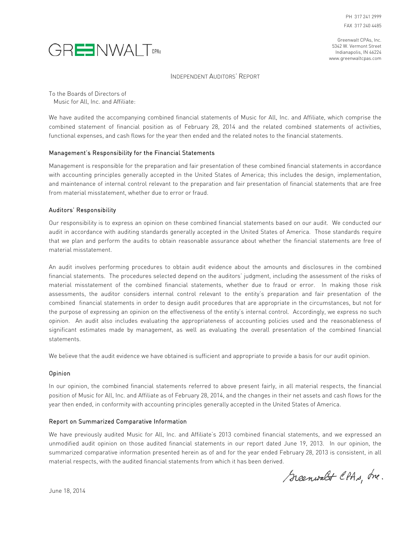



#### INDEPENDENT AUDITORS' REPORT

To the Boards of Directors of Music for All, Inc. and Affiliate:

We have audited the accompanying combined financial statements of Music for All, Inc. and Affiliate, which comprise the combined statement of financial position as of February 28, 2014 and the related combined statements of activities, functional expenses, and cash flows for the year then ended and the related notes to the financial statements.

#### Management's Responsibility for the Financial Statements

Management is responsible for the preparation and fair presentation of these combined financial statements in accordance with accounting principles generally accepted in the United States of America; this includes the design, implementation, and maintenance of internal control relevant to the preparation and fair presentation of financial statements that are free from material misstatement, whether due to error or fraud.

#### Auditors' Responsibility

Our responsibility is to express an opinion on these combined financial statements based on our audit. We conducted our audit in accordance with auditing standards generally accepted in the United States of America. Those standards require that we plan and perform the audits to obtain reasonable assurance about whether the financial statements are free of material misstatement.

An audit involves performing procedures to obtain audit evidence about the amounts and disclosures in the combined financial statements. The procedures selected depend on the auditors' judgment, including the assessment of the risks of material misstatement of the combined financial statements, whether due to fraud or error. In making those risk assessments, the auditor considers internal control relevant to the entity's preparation and fair presentation of the combined financial statements in order to design audit procedures that are appropriate in the circumstances, but not for the purpose of expressing an opinion on the effectiveness of the entity's internal control. Accordingly, we express no such opinion. An audit also includes evaluating the appropriateness of accounting policies used and the reasonableness of significant estimates made by management, as well as evaluating the overall presentation of the combined financial statements.

We believe that the audit evidence we have obtained is sufficient and appropriate to provide a basis for our audit opinion.

#### Opinion

In our opinion, the combined financial statements referred to above present fairly, in all material respects, the financial position of Music for All, Inc. and Affiliate as of February 28, 2014, and the changes in their net assets and cash flows for the year then ended, in conformity with accounting principles generally accepted in the United States of America.

#### Report on Summarized Comparative Information

We have previously audited Music for All, Inc. and Affiliate's 2013 combined financial statements, and we expressed an unmodified audit opinion on those audited financial statements in our report dated June 19, 2013. In our opinion, the summarized comparative information presented herein as of and for the year ended February 28, 2013 is consistent, in all material respects, with the audited financial statements from which it has been derived.

Scenwalt CPAs, Inc.

June 18, 2014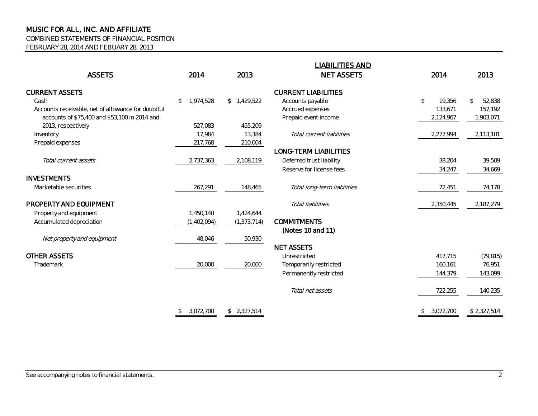COMBINED STATEMENTS OF FINANCIAL POSITION

FEBRUARY 28, 2014 AND FEBUARY 28, 2013

|                                                    |                 |               | <b>LIABILITIES AND</b>       |                          |                        |
|----------------------------------------------------|-----------------|---------------|------------------------------|--------------------------|------------------------|
| <b>ASSETS</b>                                      | 2014            | 2013          | <b>NET ASSETS</b>            | 2014                     | 2013                   |
| <b>CURRENT ASSETS</b>                              |                 |               | <b>CURRENT LIABILITIES</b>   |                          |                        |
| Cash                                               | 1,974,528<br>\$ | \$1,429,522   | Accounts payable             | $\mathfrak{L}$<br>19,356 | 52,838<br>$\mathbb{S}$ |
| Accounts receivable, net of allowance for doubtful |                 |               | Accrued expenses             | 133,671                  | 157,192                |
| accounts of \$75,400 and \$53,100 in 2014 and      |                 |               | Prepaid event income         | 2,124,967                | 1,903,071              |
| 2013, respectively                                 | 527.083         | 455,209       |                              |                          |                        |
| Inventory                                          | 17,984          | 13,384        | Total current liabilities    | 2,277,994                | 2,113,101              |
| Prepaid expenses                                   | 217,768         | 210,004       |                              |                          |                        |
|                                                    |                 |               | <b>LONG-TERM LIABILITIES</b> |                          |                        |
| Total current assets                               | 2,737,363       | 2,108,119     | Deferred trust liability     | 38,204                   | 39,509                 |
|                                                    |                 |               | Reserve for license fees     | 34,247                   | 34,669                 |
| <b>INVESTMENTS</b>                                 |                 |               |                              |                          |                        |
| Marketable securities                              | 267,291         | 148,465       | Total long-term liabilities  | 72,451                   | 74,178                 |
| PROPERTY AND EQUIPMENT                             |                 |               | Total liabilities            | 2,350,445                | 2,187,279              |
| Property and equipment                             | 1,450,140       | 1,424,644     |                              |                          |                        |
| Accumulated depreciation                           | (1,402,094)     | (1, 373, 714) | <b>COMMITMENTS</b>           |                          |                        |
|                                                    |                 |               | (Notes 10 and 11)            |                          |                        |
| Net property and equipment                         | 48,046          | 50,930        |                              |                          |                        |
|                                                    |                 |               | <b>NET ASSETS</b>            |                          |                        |
| <b>OTHER ASSETS</b>                                |                 |               | Unrestricted                 | 417,715                  | (79, 815)              |
| Trademark                                          | 20,000          | 20,000        | Temporarily restricted       | 160,161                  | 76,951                 |
|                                                    |                 |               | Permanently restricted       | 144,379                  | 143,099                |
|                                                    |                 |               | Total net assets             | 722,255                  | 140,235                |
|                                                    | \$3,072,700     | \$2,327,514   |                              | \$3,072,700              | \$2,327,514            |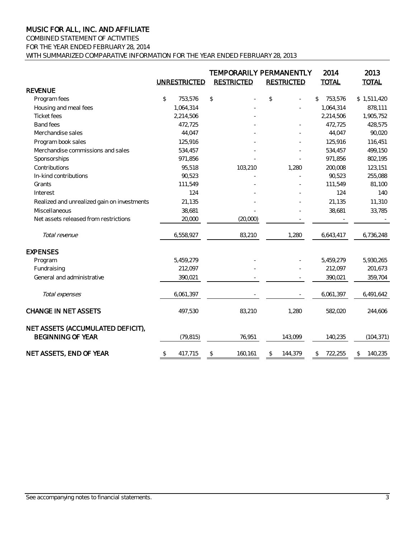## COMBINED STATEMENT OF ACTIVITIES

FOR THE YEAR ENDED FEBRUARY 28, 2014

WITH SUMMARIZED COMPARATIVE INFORMATION FOR THE YEAR ENDED FEBRUARY 28, 2013

|                                                               |                | <b>UNRESTRICTED</b> | <b>RESTRICTED</b> | TEMPORARILY PERMANENTLY<br><b>RESTRICTED</b> | 2014<br><b>TOTAL</b> | 2013<br><b>TOTAL</b> |
|---------------------------------------------------------------|----------------|---------------------|-------------------|----------------------------------------------|----------------------|----------------------|
| <b>REVENUE</b>                                                |                |                     |                   |                                              |                      |                      |
| Program fees                                                  | $\mathfrak{P}$ | 753,576             | \$                | \$                                           | \$<br>753,576        | \$1,511,420          |
| Housing and meal fees                                         |                | 1,064,314           |                   |                                              | 1,064,314            | 878,111              |
| <b>Ticket fees</b>                                            |                | 2,214,506           |                   |                                              | 2,214,506            | 1,905,752            |
| <b>Band fees</b>                                              |                | 472,725             |                   |                                              | 472,725              | 428,575              |
| Merchandise sales                                             |                | 44,047              |                   |                                              | 44,047               | 90,020               |
| Program book sales                                            |                | 125,916             |                   |                                              | 125,916              | 116,451              |
| Merchandise commissions and sales                             |                | 534,457             |                   |                                              | 534,457              | 499,150              |
| Sponsorships                                                  |                | 971,856             |                   |                                              | 971,856              | 802,195              |
| Contributions                                                 |                | 95,518              | 103,210           | 1,280                                        | 200,008              | 123,151              |
| In-kind contributions                                         |                | 90,523              |                   |                                              | 90,523               | 255,088              |
| Grants                                                        |                | 111,549             |                   |                                              | 111,549              | 81,100               |
| Interest                                                      |                | 124                 |                   |                                              | 124                  | 140                  |
| Realized and unrealized gain on investments                   |                | 21,135              |                   |                                              | 21,135               | 11,310               |
| Miscellaneous                                                 |                | 38,681              |                   |                                              | 38,681               | 33,785               |
| Net assets released from restrictions                         |                | 20,000              | (20,000)          |                                              |                      |                      |
| Total revenue                                                 |                | 6,558,927           | 83,210            | 1,280                                        | 6,643,417            | 6,736,248            |
| <b>EXPENSES</b>                                               |                |                     |                   |                                              |                      |                      |
| Program                                                       |                | 5,459,279           |                   |                                              | 5,459,279            | 5,930,265            |
| Fundraising                                                   |                | 212,097             |                   |                                              | 212,097              | 201,673              |
| General and administrative                                    |                | 390,021             |                   |                                              | 390,021              | 359,704              |
| Total expenses                                                |                | 6,061,397           |                   |                                              | 6,061,397            | 6,491,642            |
| <b>CHANGE IN NET ASSETS</b>                                   |                | 497,530             | 83,210            | 1,280                                        | 582,020              | 244,606              |
| NET ASSETS (ACCUMULATED DEFICIT),<br><b>BEGINNING OF YEAR</b> |                | (79, 815)           | 76,951            | 143,099                                      | 140,235              | (104, 371)           |
| NET ASSETS, END OF YEAR                                       | \$             | 417,715             | \$<br>160,161     | \$<br>144,379                                | \$<br>722,255        | \$<br>140,235        |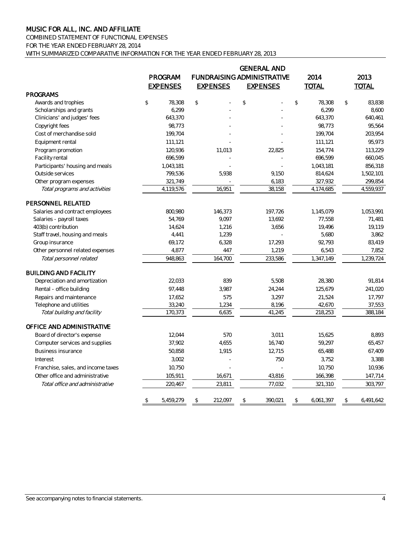COMBINED STATEMENT OF FUNCTIONAL EXPENSES FOR THE YEAR ENDED FEBRUARY 28, 2014

WITH SUMMARIZED COMPARATIVE INFORMATION FOR THE YEAR ENDED FEBRUARY 28, 2013

|                                    |                 |                 | <b>GENERAL AND</b>                |                        |                         |
|------------------------------------|-----------------|-----------------|-----------------------------------|------------------------|-------------------------|
|                                    | PROGRAM         |                 | <b>FUNDRAISING ADMINISTRATIVE</b> | 2014                   | 2013                    |
|                                    | <b>EXPENSES</b> | <b>EXPENSES</b> | <b>EXPENSES</b>                   | <b>TOTAL</b>           | <b>TOTAL</b>            |
| <b>PROGRAMS</b>                    |                 |                 |                                   |                        |                         |
| Awards and trophies                | \$<br>78,308    | $\mathsf{\$}$   | $\mathbb{S}$                      | $\mathbb{S}$<br>78,308 | $\mathsf{\$}$<br>83.838 |
| Scholarships and grants            | 6,299           |                 |                                   | 6,299                  | 8,600                   |
| Clinicians' and judges' fees       | 643,370         |                 |                                   | 643,370                | 640,461                 |
| Copyright fees                     | 98,773          |                 |                                   | 98,773                 | 95,564                  |
| Cost of merchandise sold           | 199,704         |                 |                                   | 199.704                | 203,954                 |
| Equipment rental                   | 111,121         |                 |                                   | 111,121                | 95,973                  |
| Program promotion                  | 120,936         | 11,013          | 22,825                            | 154,774                | 113,229                 |
| Facility rental                    | 696,599         |                 |                                   | 696,599                | 660,045                 |
| Participants' housing and meals    | 1,043,181       |                 |                                   | 1,043,181              | 856,318                 |
| Outside services                   | 799,536         | 5,938           | 9,150                             | 814,624                | 1,502,101               |
| Other program expenses             | 321,749         |                 | 6,183                             | 327,932                | 299,854                 |
| Total programs and activities      | 4,119,576       | 16,951          | 38,158                            | 4,174,685              | 4,559,937               |
| PERSONNEL RELATED                  |                 |                 |                                   |                        |                         |
| Salaries and contract employees    | 800,980         | 146,373         | 197,726                           | 1,145,079              | 1,053,991               |
| Salaries - payroll taxes           | 54,769          | 9,097           | 13,692                            | 77,558                 | 71,481                  |
| 403(b) contribution                | 14,624          | 1,216           | 3,656                             | 19,496                 | 19,119                  |
| Staff travel, housing and meals    | 4,441           | 1,239           |                                   | 5,680                  | 3,862                   |
| Group insurance                    | 69,172          | 6,328           | 17,293                            | 92,793                 | 83,419                  |
| Other personnel related expenses   | 4,877           | 447             | 1,219                             | 6,543                  | 7,852                   |
| Total personnel related            | 948,863         | 164,700         | 233,586                           | 1,347,149              | 1,239,724               |
| <b>BUILDING AND FACILITY</b>       |                 |                 |                                   |                        |                         |
| Depreciation and amortization      | 22,033          | 839             | 5,508                             | 28,380                 | 91,814                  |
| Rental - office building           | 97,448          | 3,987           | 24,244                            | 125,679                | 241,020                 |
| Repairs and maintenance            | 17,652          | 575             | 3,297                             | 21,524                 | 17,797                  |
| Telephone and utilities            | 33,240          | 1,234           | 8,196                             | 42,670                 | 37,553                  |
| Total building and facility        | 170,373         | 6,635           | 41,245                            | 218,253                | 388,184                 |
| OFFICE AND ADMINISTRATIVE          |                 |                 |                                   |                        |                         |
| Board of director's expense        | 12,044          | 570             | 3,011                             | 15,625                 | 8,893                   |
| Computer services and supplies     | 37,902          | 4,655           | 16,740                            | 59,297                 | 65,457                  |
| <b>Business insurance</b>          | 50,858          | 1,915           | 12,715                            | 65,488                 | 67,409                  |
| Interest                           | 3,002           |                 | 750                               | 3,752                  | 3,388                   |
| Franchise, sales, and income taxes | 10,750          |                 |                                   | 10,750                 | 10,936                  |
| Other office and administrative    | 105,911         | 16,671          | 43,816                            | 166,398                | 147,714                 |
| Total office and administrative    | 220,467         | 23,811          | 77,032                            | 321,310                | 303,797                 |
|                                    | \$<br>5,459,279 | \$<br>212,097   | \$<br>390,021                     | \$<br>6,061,397        | \$<br>6,491,642         |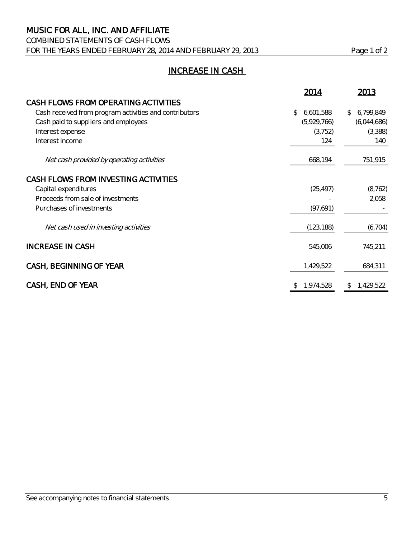## COMBINED STATEMENTS OF CASH FLOWS FOR THE YEARS ENDED FEBRUARY 28, 2014 AND FEBRUARY 29, 2013 Page 1 of 2

## INCREASE IN CASH

|                                                        | 2014            | 2013                      |
|--------------------------------------------------------|-----------------|---------------------------|
| CASH FLOWS FROM OPERATING ACTIVITIES                   |                 |                           |
| Cash received from program activities and contributors | 6,601,588<br>\$ | 6,799,849<br>$\mathbb{S}$ |
| Cash paid to suppliers and employees                   | (5,929,766)     | (6,044,686)               |
| Interest expense                                       | (3, 752)        | (3,388)                   |
| Interest income                                        | 124             | 140                       |
| Net cash provided by operating activities              | 668,194         | 751,915                   |
| CASH FLOWS FROM INVESTING ACTIVITIES                   |                 |                           |
| Capital expenditures                                   | (25, 497)       | (8, 762)                  |
| Proceeds from sale of investments                      |                 | 2,058                     |
| Purchases of investments                               | (97, 691)       |                           |
| Net cash used in investing activities                  | (123, 188)      | (6, 704)                  |
| <b>INCREASE IN CASH</b>                                | 545,006         | 745,211                   |
| CASH, BEGINNING OF YEAR                                | 1,429,522       | 684,311                   |
| CASH, END OF YEAR                                      | 1,974,528       | 1,429,522<br>\$           |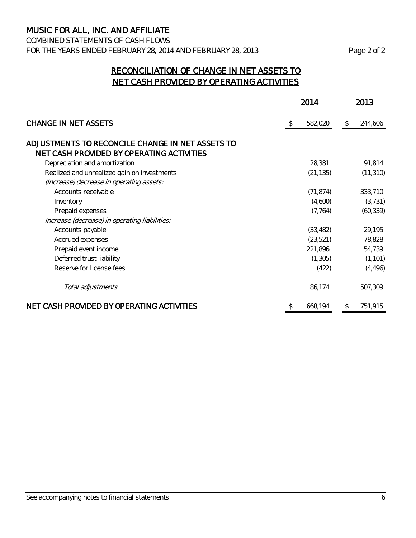COMBINED STATEMENTS OF CASH FLOWS FOR THE YEARS ENDED FEBRUARY 28, 2014 AND FEBRUARY 28, 2013 Page 2 of 2

## RECONCILIATION OF CHANGE IN NET ASSETS TO NET CASH PROVIDED BY OPERATING ACTIVITIES

|                                                  |    | 2014      |    | 2013      |  |
|--------------------------------------------------|----|-----------|----|-----------|--|
| <b>CHANGE IN NET ASSETS</b>                      | \$ | 582,020   | \$ | 244,606   |  |
| ADJUSTMENTS TO RECONCILE CHANGE IN NET ASSETS TO |    |           |    |           |  |
| NET CASH PROVIDED BY OPERATING ACTIVITIES        |    |           |    |           |  |
| Depreciation and amortization                    |    | 28,381    |    | 91,814    |  |
| Realized and unrealized gain on investments      |    | (21, 135) |    | (11, 310) |  |
| (Increase) decrease in operating assets:         |    |           |    |           |  |
| Accounts receivable                              |    | (71, 874) |    | 333,710   |  |
| Inventory                                        |    | (4,600)   |    | (3, 731)  |  |
| Prepaid expenses                                 |    | (7, 764)  |    | (60, 339) |  |
| Increase (decrease) in operating liabilities:    |    |           |    |           |  |
| Accounts payable                                 |    | (33, 482) |    | 29,195    |  |
| Accrued expenses                                 |    | (23, 521) |    | 78,828    |  |
| Prepaid event income                             |    | 221,896   |    | 54,739    |  |
| Deferred trust liability                         |    | (1, 305)  |    | (1, 101)  |  |
| Reserve for license fees                         |    | (422)     |    | (4, 496)  |  |
| Total adjustments                                |    | 86,174    |    | 507,309   |  |
| NET CASH PROVIDED BY OPERATING ACTIVITIES        | S  | 668,194   | \$ | 751,915   |  |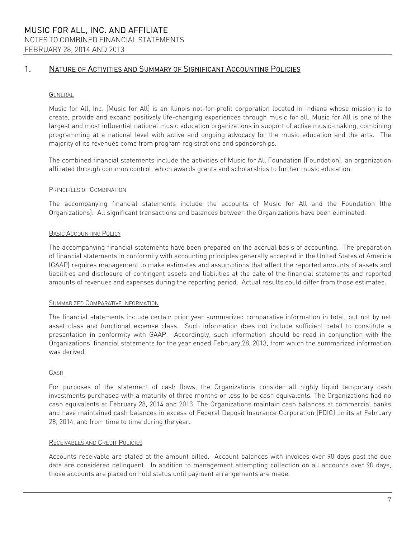#### GENERAL

Music for All, Inc. (Music for All) is an Illinois not-for-profit corporation located in Indiana whose mission is to create, provide and expand positively life-changing experiences through music for all. Music for All is one of the largest and most influential national music education organizations in support of active music-making, combining programming at a national level with active and ongoing advocacy for the music education and the arts. The majority of its revenues come from program registrations and sponsorships.

The combined financial statements include the activities of Music for All Foundation (Foundation), an organization affiliated through common control, which awards grants and scholarships to further music education.

#### PRINCIPLES OF COMBINATION

The accompanying financial statements include the accounts of Music for All and the Foundation (the Organizations). All significant transactions and balances between the Organizations have been eliminated.

#### BASIC ACCOUNTING POLICY

The accompanying financial statements have been prepared on the accrual basis of accounting. The preparation of financial statements in conformity with accounting principles generally accepted in the United States of America (GAAP) requires management to make estimates and assumptions that affect the reported amounts of assets and liabilities and disclosure of contingent assets and liabilities at the date of the financial statements and reported amounts of revenues and expenses during the reporting period. Actual results could differ from those estimates.

#### SUMMARIZED COMPARATIVE INFORMATION

The financial statements include certain prior year summarized comparative information in total, but not by net asset class and functional expense class. Such information does not include sufficient detail to constitute a presentation in conformity with GAAP. Accordingly, such information should be read in conjunction with the Organizations' financial statements for the year ended February 28, 2013, from which the summarized information was derived.

#### CASH

For purposes of the statement of cash flows, the Organizations consider all highly liquid temporary cash investments purchased with a maturity of three months or less to be cash equivalents. The Organizations had no cash equivalents at February 28, 2014 and 2013. The Organizations maintain cash balances at commercial banks and have maintained cash balances in excess of Federal Deposit Insurance Corporation (FDIC) limits at February 28, 2014, and from time to time during the year.

#### RECEIVABLES AND CREDIT POLICIES

Accounts receivable are stated at the amount billed. Account balances with invoices over 90 days past the due date are considered delinquent. In addition to management attempting collection on all accounts over 90 days, those accounts are placed on hold status until payment arrangements are made.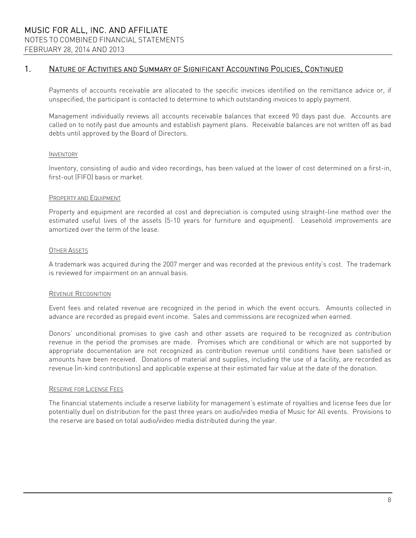Payments of accounts receivable are allocated to the specific invoices identified on the remittance advice or, if unspecified, the participant is contacted to determine to which outstanding invoices to apply payment.

Management individually reviews all accounts receivable balances that exceed 90 days past due. Accounts are called on to notify past due amounts and establish payment plans. Receivable balances are not written off as bad debts until approved by the Board of Directors.

#### INVENTORY

Inventory, consisting of audio and video recordings, has been valued at the lower of cost determined on a first-in, first-out (FIFO) basis or market.

#### PROPERTY AND EQUIPMENT

Property and equipment are recorded at cost and depreciation is computed using straight-line method over the estimated useful lives of the assets (5-10 years for furniture and equipment). Leasehold improvements are amortized over the term of the lease.

#### OTHER ASSETS

A trademark was acquired during the 2007 merger and was recorded at the previous entity's cost. The trademark is reviewed for impairment on an annual basis.

#### REVENUE RECOGNITION

Event fees and related revenue are recognized in the period in which the event occurs. Amounts collected in advance are recorded as prepaid event income. Sales and commissions are recognized when earned.

Donors' unconditional promises to give cash and other assets are required to be recognized as contribution revenue in the period the promises are made. Promises which are conditional or which are not supported by appropriate documentation are not recognized as contribution revenue until conditions have been satisfied or amounts have been received. Donations of material and supplies, including the use of a facility, are recorded as revenue (in-kind contributions) and applicable expense at their estimated fair value at the date of the donation.

#### RESERVE FOR LICENSE FEES

The financial statements include a reserve liability for management's estimate of royalties and license fees due (or potentially due) on distribution for the past three years on audio/video media of Music for All events. Provisions to the reserve are based on total audio/video media distributed during the year.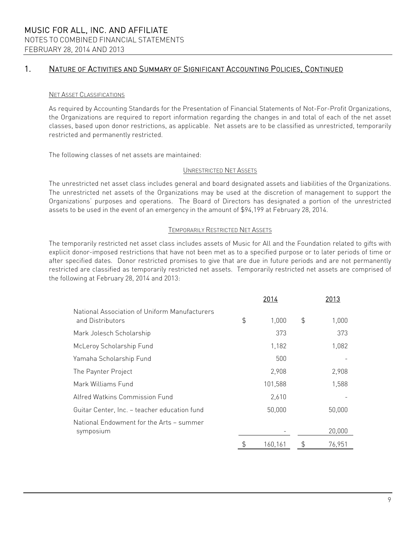#### NET ASSET CLASSIFICATIONS

As required by Accounting Standards for the Presentation of Financial Statements of Not-For-Profit Organizations, the Organizations are required to report information regarding the changes in and total of each of the net asset classes, based upon donor restrictions, as applicable. Net assets are to be classified as unrestricted, temporarily restricted and permanently restricted.

The following classes of net assets are maintained:

#### UNRESTRICTED NET ASSETS

The unrestricted net asset class includes general and board designated assets and liabilities of the Organizations. The unrestricted net assets of the Organizations may be used at the discretion of management to support the Organizations' purposes and operations. The Board of Directors has designated a portion of the unrestricted assets to be used in the event of an emergency in the amount of \$94,199 at February 28, 2014.

#### TEMPORARILY RESTRICTED NET ASSETS

The temporarily restricted net asset class includes assets of Music for All and the Foundation related to gifts with explicit donor-imposed restrictions that have not been met as to a specified purpose or to later periods of time or after specified dates. Donor restricted promises to give that are due in future periods and are not permanently restricted are classified as temporarily restricted net assets. Temporarily restricted net assets are comprised of the following at February 28, 2014 and 2013:

|                                                                   | 2014          |               | 2013   |
|-------------------------------------------------------------------|---------------|---------------|--------|
| National Association of Uniform Manufacturers<br>and Distributors | \$<br>1,000   | $\frac{1}{2}$ | 1,000  |
| Mark Jolesch Scholarship                                          | 373           |               | 373    |
| McLeroy Scholarship Fund                                          | 1,182         |               | 1,082  |
| Yamaha Scholarship Fund                                           | 500           |               |        |
| The Paynter Project                                               | 2,908         |               | 2,908  |
| Mark Williams Fund                                                | 101,588       |               | 1,588  |
| Alfred Watkins Commission Fund                                    | 2,610         |               |        |
| Guitar Center, Inc. - teacher education fund                      | 50,000        |               | 50,000 |
| National Endowment for the Arts - summer<br>symposium             |               |               | 20,000 |
|                                                                   | \$<br>160,161 | \$            | 76,951 |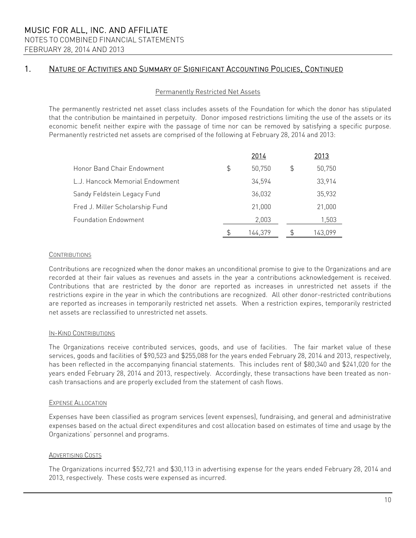#### Permanently Restricted Net Assets

The permanently restricted net asset class includes assets of the Foundation for which the donor has stipulated that the contribution be maintained in perpetuity. Donor imposed restrictions limiting the use of the assets or its economic benefit neither expire with the passage of time nor can be removed by satisfying a specific purpose. Permanently restricted net assets are comprised of the following at February 28, 2014 and 2013:

|                                 | 2014          |    | 2013    |
|---------------------------------|---------------|----|---------|
| Honor Band Chair Endowment      | \$<br>50,750  | \$ | 50,750  |
| L.J. Hancock Memorial Endowment | 34.594        |    | 33,914  |
| Sandy Feldstein Legacy Fund     | 36,032        |    | 35,932  |
| Fred J. Miller Scholarship Fund | 21,000        |    | 21,000  |
| <b>Foundation Endowment</b>     | 2,003         |    | 1,503   |
|                                 | \$<br>144,379 | P  | 143,099 |

#### **CONTRIBUTIONS**

Contributions are recognized when the donor makes an unconditional promise to give to the Organizations and are recorded at their fair values as revenues and assets in the year a contributions acknowledgement is received. Contributions that are restricted by the donor are reported as increases in unrestricted net assets if the restrictions expire in the year in which the contributions are recognized. All other donor-restricted contributions are reported as increases in temporarily restricted net assets. When a restriction expires, temporarily restricted net assets are reclassified to unrestricted net assets.

#### IN-KIND CONTRIBUTIONS

The Organizations receive contributed services, goods, and use of facilities. The fair market value of these services, goods and facilities of \$90,523 and \$255,088 for the years ended February 28, 2014 and 2013, respectively, has been reflected in the accompanying financial statements. This includes rent of \$80,340 and \$241,020 for the years ended February 28, 2014 and 2013, respectively. Accordingly, these transactions have been treated as noncash transactions and are properly excluded from the statement of cash flows.

#### EXPENSE ALLOCATION

Expenses have been classified as program services (event expenses), fundraising, and general and administrative expenses based on the actual direct expenditures and cost allocation based on estimates of time and usage by the Organizations' personnel and programs.

#### ADVERTISING COSTS

The Organizations incurred \$52,721 and \$30,113 in advertising expense for the years ended February 28, 2014 and 2013, respectively. These costs were expensed as incurred.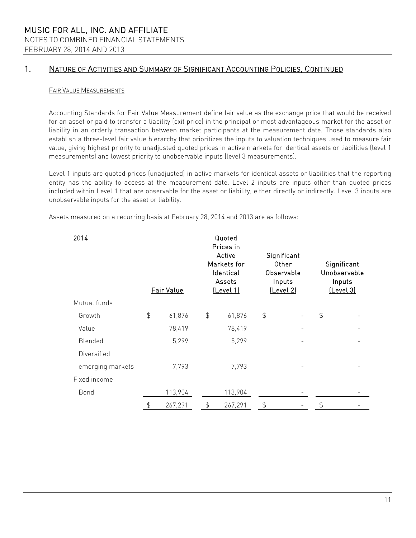#### FAIR VALUE MEASUREMENTS

Accounting Standards for Fair Value Measurement define fair value as the exchange price that would be received for an asset or paid to transfer a liability (exit price) in the principal or most advantageous market for the asset or liability in an orderly transaction between market participants at the measurement date. Those standards also establish a three-level fair value hierarchy that prioritizes the inputs to valuation techniques used to measure fair value, giving highest priority to unadjusted quoted prices in active markets for identical assets or liabilities (level 1 measurements) and lowest priority to unobservable inputs (level 3 measurements).

Level 1 inputs are quoted prices (unadjusted) in active markets for identical assets or liabilities that the reporting entity has the ability to access at the measurement date. Level 2 inputs are inputs other than quoted prices included within Level 1 that are observable for the asset or liability, either directly or indirectly. Level 3 inputs are unobservable inputs for the asset or liability.

Assets measured on a recurring basis at February 28, 2014 and 2013 are as follows:

| 2014             | Fair Value    |         | Quoted<br>Prices in<br>Active<br>Markets for<br>Identical<br>Assets<br>[Level 1] |         | Significant<br>Other<br>Observable<br>Inputs<br>[Level 2] |  |               | Significant<br>Unobservable<br>Inputs<br>(Level 3) |
|------------------|---------------|---------|----------------------------------------------------------------------------------|---------|-----------------------------------------------------------|--|---------------|----------------------------------------------------|
| Mutual funds     |               |         |                                                                                  |         |                                                           |  |               |                                                    |
| Growth           | $\frac{1}{2}$ | 61,876  | $\frac{4}{5}$                                                                    | 61,876  | $\updownarrow$                                            |  | $\frac{4}{5}$ |                                                    |
| Value            |               | 78,419  |                                                                                  | 78,419  |                                                           |  |               |                                                    |
| Blended          |               | 5,299   |                                                                                  | 5,299   |                                                           |  |               |                                                    |
| Diversified      |               |         |                                                                                  |         |                                                           |  |               |                                                    |
| emerging markets |               | 7,793   |                                                                                  | 7,793   |                                                           |  |               |                                                    |
| Fixed income     |               |         |                                                                                  |         |                                                           |  |               |                                                    |
| Bond             |               | 113,904 |                                                                                  | 113,904 |                                                           |  |               |                                                    |
|                  |               | 267,291 | \$                                                                               | 267,291 |                                                           |  |               |                                                    |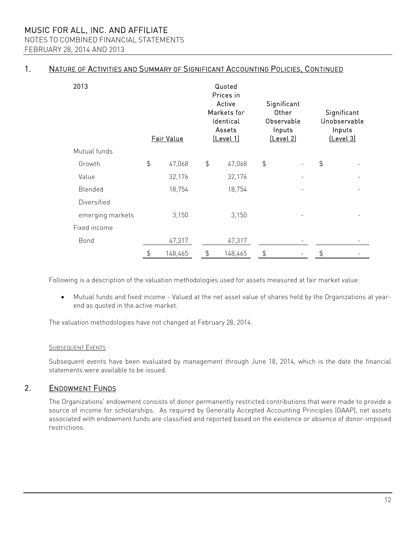MUSIC FOR ALL, INC. AND AFFILIATE NOTES TO COMBINED FINANCIAL STATEMENTS

FEBRUARY 28, 2014 AND 2013

## 1. NATURE OF ACTIVITIES AND SUMMARY OF SIGNIFICANT ACCOUNTING POLICIES, CONTINUED

| 2013             | Fair Value    |         |               | Quoted<br>Prices in<br>Active<br>Markets for<br>Identical<br>Assets<br><u>(Level 1)</u> | Significant<br>Other<br>Observable<br>Inputs<br>[Level 2] |  |               | Significant<br>Unobservable<br>Inputs<br>[Level 3] |
|------------------|---------------|---------|---------------|-----------------------------------------------------------------------------------------|-----------------------------------------------------------|--|---------------|----------------------------------------------------|
| Mutual funds     |               |         |               |                                                                                         |                                                           |  |               |                                                    |
| Growth           | $\frac{4}{5}$ | 47,068  | $\frac{4}{5}$ | 47,068                                                                                  | $\frac{4}{5}$                                             |  | $\frac{4}{5}$ |                                                    |
| Value            |               | 32,176  |               | 32,176                                                                                  |                                                           |  |               |                                                    |
| Blended          |               | 18,754  |               | 18,754                                                                                  |                                                           |  |               |                                                    |
| Diversified      |               |         |               |                                                                                         |                                                           |  |               |                                                    |
| emerging markets |               | 3,150   |               | 3,150                                                                                   |                                                           |  |               |                                                    |
| Fixed income     |               |         |               |                                                                                         |                                                           |  |               |                                                    |
| Bond             |               | 47,317  |               | 47,317                                                                                  |                                                           |  |               |                                                    |
|                  | $\frac{4}{5}$ | 148,465 | \$            | 148,465                                                                                 | \$                                                        |  | $\frac{4}{5}$ |                                                    |

Following is a description of the valuation methodologies used for assets measured at fair market value:

 Mutual funds and fixed income - Valued at the net asset value of shares held by the Organizations at yearend as quoted in the active market.

The valuation methodologies have not changed at February 28, 2014.

### SUBSEQUENT EVENTS

Subsequent events have been evaluated by management through June 18, 2014, which is the date the financial statements were available to be issued.

## 2. ENDOWMENT FUNDS

The Organizations' endowment consists of donor permanently restricted contributions that were made to provide a source of income for scholarships. As required by Generally Accepted Accounting Principles (GAAP), net assets associated with endowment funds are classified and reported based on the existence or absence of donor-imposed restrictions.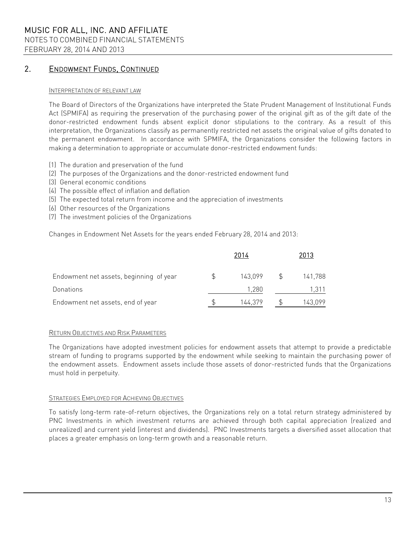## MUSIC FOR ALL, INC. AND AFFILIATE NOTES TO COMBINED FINANCIAL STATEMENTS

FEBRUARY 28, 2014 AND 2013

## 2. ENDOWMENT FUNDS, CONTINUED

#### INTERPRETATION OF RELEVANT LAW

The Board of Directors of the Organizations have interpreted the State Prudent Management of Institutional Funds Act (SPMIFA) as requiring the preservation of the purchasing power of the original gift as of the gift date of the donor-restricted endowment funds absent explicit donor stipulations to the contrary. As a result of this interpretation, the Organizations classify as permanently restricted net assets the original value of gifts donated to the permanent endowment. In accordance with SPMIFA, the Organizations consider the following factors in making a determination to appropriate or accumulate donor-restricted endowment funds:

- (1) The duration and preservation of the fund
- (2) The purposes of the Organizations and the donor-restricted endowment fund
- (3) General economic conditions
- (4) The possible effect of inflation and deflation
- (5) The expected total return from income and the appreciation of investments
- (6) Other resources of the Organizations
- (7) The investment policies of the Organizations

Changes in Endowment Net Assets for the years ended February 28, 2014 and 2013:

|                                         | 2014    | 2013    |
|-----------------------------------------|---------|---------|
| Endowment net assets, beginning of year | 143,099 | 141,788 |
| Donations                               | 1.280   | 1.311   |
| Endowment net assets, end of year       | 144,379 | 143,099 |

#### RETURN OBJECTIVES AND RISK PARAMETERS

The Organizations have adopted investment policies for endowment assets that attempt to provide a predictable stream of funding to programs supported by the endowment while seeking to maintain the purchasing power of the endowment assets. Endowment assets include those assets of donor-restricted funds that the Organizations must hold in perpetuity.

#### STRATEGIES EMPLOYED FOR ACHIEVING OBJECTIVES

To satisfy long-term rate-of-return objectives, the Organizations rely on a total return strategy administered by PNC Investments in which investment returns are achieved through both capital appreciation (realized and unrealized) and current yield (interest and dividends). PNC Investments targets a diversified asset allocation that places a greater emphasis on long-term growth and a reasonable return.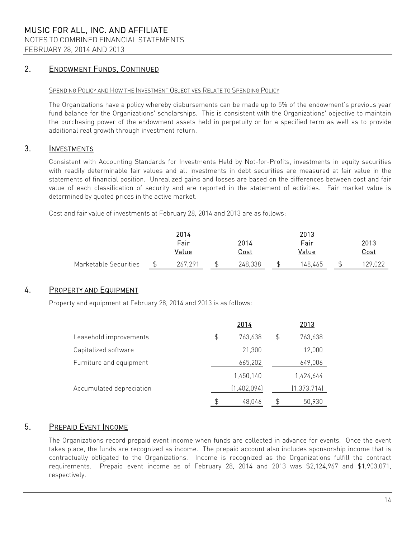## 2. ENDOWMENT FUNDS, CONTINUED

#### SPENDING POLICY AND HOW THE INVESTMENT OBJECTIVES RELATE TO SPENDING POLICY

The Organizations have a policy whereby disbursements can be made up to 5% of the endowment's previous year fund balance for the Organizations' scholarships. This is consistent with the Organizations' objective to maintain the purchasing power of the endowment assets held in perpetuity or for a specified term as well as to provide additional real growth through investment return.

## 3. INVESTMENTS

Consistent with Accounting Standards for Investments Held by Not-for-Profits, investments in equity securities with readily determinable fair values and all investments in debt securities are measured at fair value in the statements of financial position. Unrealized gains and losses are based on the differences between cost and fair value of each classification of security and are reported in the statement of activities. Fair market value is determined by quoted prices in the active market.

Cost and fair value of investments at February 28, 2014 and 2013 are as follows:

|                       | 2014    |  |             | 2013    |             |
|-----------------------|---------|--|-------------|---------|-------------|
|                       | Fair    |  | 2014        | Fair    | 2013        |
|                       | Value   |  | <u>Cost</u> | Value   | <u>Cost</u> |
| Marketable Securities | 267,291 |  | 248,338     | 148.465 | 129.022     |

## 4. PROPERTY AND EQUIPMENT

Property and equipment at February 28, 2014 and 2013 is as follows:

|                          | 2014          |    | 2013          |
|--------------------------|---------------|----|---------------|
| Leasehold improvements   | \$<br>763,638 | \$ | 763,638       |
| Capitalized software     | 21,300        |    | 12,000        |
| Furniture and equipment  | 665,202       |    | 649,006       |
|                          | 1,450,140     |    | 1,424,644     |
| Accumulated depreciation | (1,402,094)   |    | (1, 373, 714) |
|                          | \$<br>48,046  | ₽  | 50,930        |

## 5. PREPAID EVENT INCOME

The Organizations record prepaid event income when funds are collected in advance for events. Once the event takes place, the funds are recognized as income. The prepaid account also includes sponsorship income that is contractually obligated to the Organizations. Income is recognized as the Organizations fulfill the contract requirements. Prepaid event income as of February 28, 2014 and 2013 was \$2,124,967 and \$1,903,071, respectively.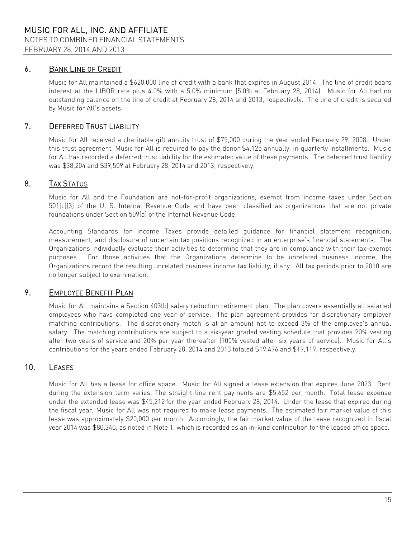## 6. BANK LINE OF CREDIT

Music for All maintained a \$620,000 line of credit with a bank that expires in August 2014. The line of credit bears interest at the LIBOR rate plus 4.0% with a 5.0% minimum (5.0% at February 28, 2014). Music for All had no outstanding balance on the line of credit at February 28, 2014 and 2013, respectively. The line of credit is secured by Music for All's assets.

## 7. DEFERRED TRUST LIABILITY

Music for All received a charitable gift annuity trust of \$75,000 during the year ended February 29, 2008. Under this trust agreement, Music for All is required to pay the donor \$4,125 annually, in quarterly installments. Music for All has recorded a deferred trust liability for the estimated value of these payments. The deferred trust liability was \$38,204 and \$39,509 at February 28, 2014 and 2013, respectively.

## 8. TAX STATUS

Music for All and the Foundation are not-for-profit organizations, exempt from income taxes under Section 501(c)(3) of the U. S. Internal Revenue Code and have been classified as organizations that are not private foundations under Section 509(a) of the Internal Revenue Code.

Accounting Standards for Income Taxes provide detailed guidance for financial statement recognition, measurement, and disclosure of uncertain tax positions recognized in an enterprise's financial statements. The Organizations individually evaluate their activities to determine that they are in compliance with their tax-exempt purposes. For those activities that the Organizations determine to be unrelated business income, the Organizations record the resulting unrelated business income tax liability, if any. All tax periods prior to 2010 are no longer subject to examination.

## 9. EMPLOYEE BENEFIT PLAN

Music for All maintains a Section 403(b) salary reduction retirement plan. The plan covers essentially all salaried employees who have completed one year of service. The plan agreement provides for discretionary employer matching contributions. The discretionary match is at an amount not to exceed 3% of the employee's annual salary. The matching contributions are subject to a six-year graded vesting schedule that provides 20% vesting after two years of service and 20% per year thereafter (100% vested after six years of service). Music for All's contributions for the years ended February 28, 2014 and 2013 totaled \$19,496 and \$19,119, respectively.

## 10. LEASES

Music for All has a lease for office space. Music for All signed a lease extension that expires June 2023. Rent during the extension term varies. The straight-line rent payments are \$5,652 per month. Total lease expense under the extended lease was \$45,212 for the year ended February 28, 2014. Under the lease that expired during the fiscal year, Music for All was not required to make lease payments. The estimated fair market value of this lease was approximately \$20,000 per month. Accordingly, the fair market value of the lease recognized in fiscal year 2014 was \$80,340, as noted in Note 1, which is recorded as an in-kind contribution for the leased office space.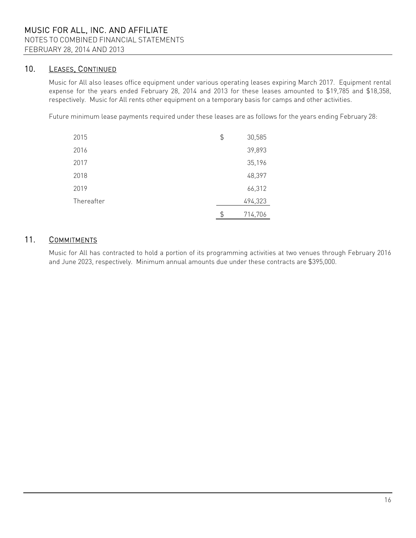## 10. LEASES, CONTINUED

Music for All also leases office equipment under various operating leases expiring March 2017. Equipment rental expense for the years ended February 28, 2014 and 2013 for these leases amounted to \$19,785 and \$18,358, respectively. Music for All rents other equipment on a temporary basis for camps and other activities.

Future minimum lease payments required under these leases are as follows for the years ending February 28:

| 2015       | \$<br>30,585  |
|------------|---------------|
| 2016       | 39,893        |
| 2017       | 35,196        |
| 2018       | 48,397        |
| 2019       | 66,312        |
| Thereafter | 494,323       |
|            | \$<br>714,706 |

## 11. COMMITMENTS

Music for All has contracted to hold a portion of its programming activities at two venues through February 2016 and June 2023, respectively. Minimum annual amounts due under these contracts are \$395,000.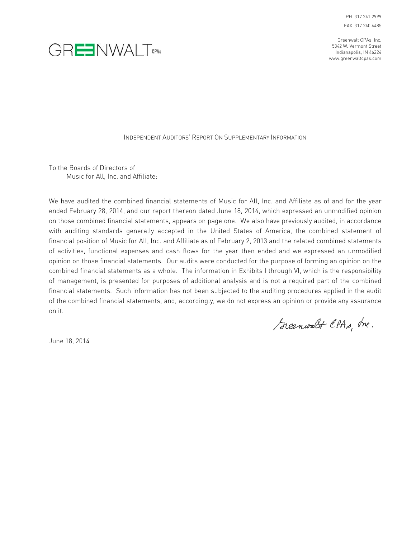PH 317 241 2999 FAX 317 240 4485

Greenwalt CPAs, Inc. 5342 W. Vermont Street Indianapolis, IN 46224 www.greenwaltcpas.com



INDEPENDENT AUDITORS' REPORT ON SUPPLEMENTARY INFORMATION

To the Boards of Directors of Music for All, Inc. and Affiliate:

We have audited the combined financial statements of Music for All, Inc. and Affiliate as of and for the year ended February 28, 2014, and our report thereon dated June 18, 2014, which expressed an unmodified opinion on those combined financial statements, appears on page one. We also have previously audited, in accordance with auditing standards generally accepted in the United States of America, the combined statement of financial position of Music for All, Inc. and Affiliate as of February 2, 2013 and the related combined statements of activities, functional expenses and cash flows for the year then ended and we expressed an unmodified opinion on those financial statements. Our audits were conducted for the purpose of forming an opinion on the combined financial statements as a whole. The information in Exhibits I through VI, which is the responsibility of management, is presented for purposes of additional analysis and is not a required part of the combined financial statements. Such information has not been subjected to the auditing procedures applied in the audit of the combined financial statements, and, accordingly, we do not express an opinion or provide any assurance on it.

Greenwalt CPAs, Inc.

June 18, 2014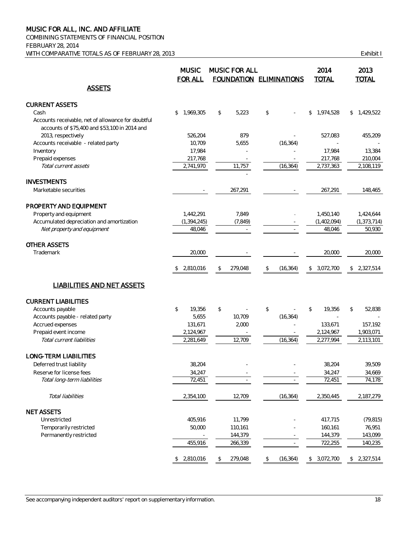COMBINING STATEMENTS OF FINANCIAL POSITION FEBRUARY 28, 2014 WITH COMPARATIVE TOTALS AS OF FEBRUARY 28, 2013 COMPARATIVE TOTALS AS OF FEBRUARY 28, 2013

|                                                    | <b>MUSIC</b><br><b>FOR ALL</b> | <b>MUSIC FOR ALL</b> | FOUNDATION ELIMINATIONS | 2014<br><b>TOTAL</b> | 2013<br><b>TOTAL</b> |
|----------------------------------------------------|--------------------------------|----------------------|-------------------------|----------------------|----------------------|
| <b>ASSETS</b>                                      |                                |                      |                         |                      |                      |
| <b>CURRENT ASSETS</b>                              |                                |                      |                         |                      |                      |
| Cash                                               | \$<br>1,969,305                | 5,223<br>\$          | \$                      | 1,974,528<br>\$      | \$1,429,522          |
| Accounts receivable, net of allowance for doubtful |                                |                      |                         |                      |                      |
| accounts of \$75,400 and \$53,100 in 2014 and      |                                |                      |                         |                      |                      |
| 2013, respectively                                 | 526,204                        | 879                  |                         | 527,083              | 455,209              |
| Accounts receivable - related party                | 10,709                         | 5,655                | (16, 364)               |                      |                      |
| Inventory                                          | 17,984                         |                      |                         | 17,984               | 13,384               |
| Prepaid expenses                                   | 217,768                        | $\sim$               |                         | 217,768              | 210,004              |
| Total current assets                               | 2,741,970                      | 11,757               | (16, 364)               | 2,737,363            | 2,108,119            |
|                                                    |                                |                      |                         |                      |                      |
| <b>INVESTMENTS</b>                                 |                                |                      |                         |                      |                      |
| Marketable securities                              |                                | 267,291              |                         | 267,291              | 148,465              |
|                                                    |                                |                      |                         |                      |                      |
| PROPERTY AND EQUIPMENT                             |                                |                      |                         |                      |                      |
| Property and equipment                             | 1,442,291                      | 7,849                |                         | 1,450,140            | 1,424,644            |
| Accumulated depreciation and amortization          | (1, 394, 245)                  | (7, 849)             |                         | (1,402,094)          | (1, 373, 714)        |
| Net property and equipment                         | 48,046                         |                      |                         | 48,046               | 50,930               |
|                                                    |                                |                      |                         |                      |                      |
| <b>OTHER ASSETS</b>                                |                                |                      |                         |                      |                      |
| Trademark                                          | 20,000                         |                      |                         | 20,000               | 20.000               |
|                                                    |                                |                      |                         |                      |                      |
|                                                    | \$2,810,016                    | 279,048<br>\$        | (16, 364)<br>\$         | \$3,072,700          | 2,327,514<br>\$      |
| <b>LIABILITIES AND NET ASSETS</b>                  |                                |                      |                         |                      |                      |
| <b>CURRENT LIABILITIES</b>                         |                                |                      |                         |                      |                      |
| Accounts payable                                   | \$<br>19,356                   | \$                   | \$                      | \$<br>19,356         | \$<br>52,838         |
| Accounts payable - related party                   | 5,655                          | 10,709               | (16, 364)               |                      |                      |
| Accrued expenses                                   | 131,671                        | 2,000                |                         | 133,671              | 157,192              |
| Prepaid event income                               | 2,124,967                      |                      |                         | 2,124,967            | 1,903,071            |
| Total current liabilities                          | 2,281,649                      | 12,709               | (16, 364)               | 2,277,994            | 2,113,101            |
|                                                    |                                |                      |                         |                      |                      |
| LONG-TERM LIABILITIES                              |                                |                      |                         |                      |                      |
| Deferred trust liability                           | 38,204                         |                      |                         | 38,204               | 39.509               |
| Reserve for license fees                           | 34,247                         |                      |                         | 34,247               | 34,669               |
| Total long-term liabilities                        | 72,451                         |                      |                         | 72,451               | 74,178               |
|                                                    |                                |                      |                         |                      |                      |
| Total liabilities                                  | 2,354,100                      | 12,709               | (16, 364)               | 2,350,445            | 2,187,279            |
| <b>NET ASSETS</b>                                  |                                |                      |                         |                      |                      |
|                                                    |                                |                      |                         |                      |                      |
| Unrestricted                                       | 405,916                        | 11,799               |                         | 417,715              | (79, 815)            |
| Temporarily restricted                             | 50,000                         | 110,161              |                         | 160,161              | 76,951               |
| Permanently restricted                             |                                | 144,379              |                         | 144,379              | 143,099              |
|                                                    | 455,916                        | 266,339              | $\omega$                | 722,255              | 140,235              |
|                                                    | \$2,810,016                    | 279,048<br>\$        | (16, 364)<br>\$         | \$3,072,700          | \$2,327,514          |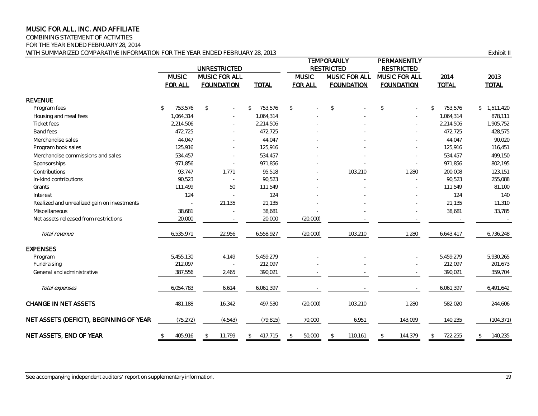COMBINING STATEMENT OF ACTIVITIES

FOR THE YEAR ENDED FEBRUARY 28, 2014

WITH SUMMARIZED COMPARATIVE INFORMATION FOR THE YEAR ENDED FEBRUARY 28, 2013 **EXAMPLE 2013** Exhibit II

|                                             | <b>UNRESTRICTED</b>            |     |                                           |                |                |           |                                | TEMPORARILY<br><b>RESTRICTED</b> |                                    |         |                                    | PERMANENTLY<br><b>RESTRICTED</b> |                      |           |                      |             |
|---------------------------------------------|--------------------------------|-----|-------------------------------------------|----------------|----------------|-----------|--------------------------------|----------------------------------|------------------------------------|---------|------------------------------------|----------------------------------|----------------------|-----------|----------------------|-------------|
|                                             | <b>MUSIC</b><br><b>FOR ALL</b> |     | <b>MUSIC FOR ALL</b><br><b>FOUNDATION</b> |                | <b>TOTAL</b>   |           | <b>MUSIC</b><br><b>FOR ALL</b> |                                  | MUSIC FOR ALL<br><b>FOUNDATION</b> |         | MUSIC FOR ALL<br><b>FOUNDATION</b> |                                  | 2014<br><b>TOTAL</b> |           | 2013<br><b>TOTAL</b> |             |
| <b>REVENUE</b>                              |                                |     |                                           |                |                |           |                                |                                  |                                    |         |                                    |                                  |                      |           |                      |             |
| Program fees                                | 753,576<br>$\mathfrak{L}$      |     | $\mathfrak{D}$                            | $\equiv$       | $\mathfrak{L}$ | 753,576   | $\mathcal{L}$                  |                                  | $\sqrt{2}$                         |         | $\mathbb{S}$                       |                                  | $\mathbb{S}$         | 753,576   |                      | \$1,511,420 |
| Housing and meal fees                       | 1,064,314                      |     |                                           | $\sim$         |                | 1,064,314 |                                |                                  |                                    |         |                                    |                                  |                      | 1,064,314 |                      | 878,111     |
| Ticket fees                                 | 2,214,506                      |     |                                           | ÷              |                | 2,214,506 |                                |                                  |                                    |         |                                    |                                  |                      | 2,214,506 |                      | 1,905,752   |
| <b>Band fees</b>                            | 472,725                        |     |                                           |                |                | 472,725   |                                |                                  |                                    |         |                                    |                                  |                      | 472,725   |                      | 428,575     |
| Merchandise sales                           | 44.047                         |     |                                           | $\sim$         |                | 44,047    |                                |                                  |                                    |         |                                    |                                  |                      | 44,047    |                      | 90,020      |
| Program book sales                          | 125,916                        |     |                                           | $\sim$         |                | 125,916   |                                |                                  |                                    |         |                                    | $\overline{a}$                   |                      | 125,916   |                      | 116,451     |
| Merchandise commissions and sales           | 534,457                        |     |                                           |                |                | 534,457   |                                |                                  |                                    |         |                                    |                                  |                      | 534,457   |                      | 499,150     |
| Sponsorships                                | 971,856                        |     |                                           |                |                | 971,856   |                                |                                  |                                    |         |                                    |                                  |                      | 971,856   |                      | 802,195     |
| Contributions                               | 93,747                         |     |                                           | 1.771          |                | 95,518    |                                |                                  |                                    | 103,210 |                                    | 1,280                            |                      | 200,008   |                      | 123,151     |
| In-kind contributions                       | 90,523                         |     |                                           | $\overline{a}$ |                | 90,523    |                                |                                  |                                    |         |                                    |                                  |                      | 90,523    |                      | 255,088     |
| Grants                                      | 111,499                        |     |                                           | 50             |                | 111,549   |                                |                                  |                                    |         |                                    |                                  |                      | 111,549   |                      | 81,100      |
| Interest                                    |                                | 124 |                                           |                |                | 124       |                                |                                  |                                    |         |                                    |                                  |                      | 124       |                      | 140         |
| Realized and unrealized gain on investments |                                |     |                                           | 21,135         |                | 21,135    |                                |                                  |                                    |         |                                    |                                  |                      | 21,135    |                      | 11,310      |
| Miscellaneous                               | 38,681                         |     |                                           | $\sim$         |                | 38,681    |                                |                                  |                                    |         |                                    |                                  |                      | 38,681    |                      | 33,785      |
| Net assets released from restrictions       | 20,000                         |     |                                           |                |                | 20,000    |                                | (20,000)                         |                                    |         |                                    |                                  |                      |           |                      |             |
| Total revenue                               | 6,535,971                      |     |                                           | 22,956         |                | 6,558,927 |                                | (20,000)                         |                                    | 103,210 |                                    | 1,280                            |                      | 6,643,417 |                      | 6,736,248   |
| <b>EXPENSES</b>                             |                                |     |                                           |                |                |           |                                |                                  |                                    |         |                                    |                                  |                      |           |                      |             |
| Program                                     | 5,455,130                      |     |                                           | 4,149          |                | 5,459,279 |                                |                                  |                                    |         |                                    |                                  |                      | 5,459,279 |                      | 5,930,265   |
| Fundraising                                 | 212,097                        |     |                                           |                |                | 212,097   |                                |                                  |                                    |         |                                    |                                  |                      | 212,097   |                      | 201,673     |
| General and administrative                  | 387,556                        |     |                                           | 2,465          |                | 390,021   |                                |                                  |                                    |         |                                    |                                  |                      | 390,021   |                      | 359,704     |
| Total expenses                              | 6,054,783                      |     |                                           | 6,614          |                | 6,061,397 |                                |                                  |                                    |         |                                    |                                  |                      | 6,061,397 |                      | 6,491,642   |
| CHANGE IN NET ASSETS                        | 481,188                        |     |                                           | 16,342         |                | 497,530   |                                | (20,000)                         |                                    | 103,210 |                                    | 1,280                            |                      | 582,020   |                      | 244,606     |
| NET ASSETS (DEFICIT), BEGINNING OF YEAR     | (75, 272)                      |     |                                           | (4, 543)       |                | (79, 815) |                                | 70,000                           |                                    | 6,951   |                                    | 143,099                          |                      | 140,235   |                      | (104, 371)  |
| NET ASSETS, END OF YEAR                     | 405,916<br>\$                  |     | \$                                        | 11,799         | \$             | 417,715   | \$                             | 50,000                           | $\mathcal{L}$                      | 110,161 | \$                                 | 144,379                          | \$                   | 722,255   | \$                   | 140,235     |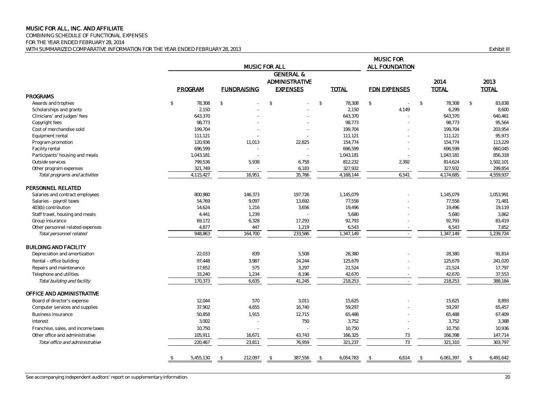COMBINING SCHEDULE OF FUNCTIONAL EXPENSES FOR THE YEAR ENDED FEBRUARY 28, 2014 WITH SUMMARIZED COMPARATIVE INFORMATION FOR THE YEAR ENDED FEBRUARY 28, 2013 **EXHIBIT III** COMPARATIVE INFORMATION FOR THE YEAR ENDED FEBRUARY 28, 2013

|                                    |                         |                    | <b>MUSIC FOR ALL</b>                                      |                        | <b>MUSIC FOR</b><br>ALL FOUNDATION |                         |                         |
|------------------------------------|-------------------------|--------------------|-----------------------------------------------------------|------------------------|------------------------------------|-------------------------|-------------------------|
|                                    | PROGRAM                 | <b>FUNDRAISING</b> | <b>GENERAL &amp;</b><br>ADMINISTRATIVE<br><b>EXPENSES</b> | <b>TOTAL</b>           | <b>FDN EXPENSES</b>                | 2014<br><b>TOTAL</b>    | 2013<br><b>TOTAL</b>    |
| <b>PROGRAMS</b>                    |                         |                    |                                                           |                        |                                    |                         |                         |
| Awards and trophies                | $\mathcal{L}$<br>78.308 | $\mathbb{S}$       | $\mathcal{S}$                                             | 78.308<br>$\mathbb{S}$ | $\mathbb{S}$<br>$\sim$             | $\mathcal{L}$<br>78.308 | $\mathcal{S}$<br>83,838 |
| Scholarships and grants            | 2,150                   |                    |                                                           | 2,150                  | 4,149                              | 6,299                   | 8,600                   |
| Clinicians' and judges' fees       | 643,370                 |                    |                                                           | 643,370                |                                    | 643,370                 | 640,461                 |
| Copyright fees                     | 98,773                  |                    |                                                           | 98,773                 |                                    | 98,773                  | 95,564                  |
| Cost of merchandise sold           | 199,704                 |                    |                                                           | 199,704                |                                    | 199,704                 | 203,954                 |
| Equipment rental                   | 111,121                 |                    |                                                           | 111,121                |                                    | 111,121                 | 95,973                  |
| Program promotion                  | 120,936                 | 11,013             | 22,825                                                    | 154,774                |                                    | 154,774                 | 113,229                 |
| Facility rental                    | 696,599                 |                    |                                                           | 696,599                |                                    | 696,599                 | 660,045                 |
| Participants' housing and meals    | 1,043,181               |                    |                                                           | 1,043,181              |                                    | 1,043,181               | 856,318                 |
| Outside services                   | 799,536                 | 5,938              | 6,758                                                     | 812,232                | 2,392                              | 814,624                 | 1,502,101               |
| Other program expenses             | 321,749                 |                    | 6,183                                                     | 327,932                |                                    | 327,932                 | 299,854                 |
| Total programs and activities      | 4,115,427               | 16,951             | 35,766                                                    | 4,168,144              | 6,541                              | 4,174,685               | 4,559,937               |
| PERSONNEL RELATED                  |                         |                    |                                                           |                        |                                    |                         |                         |
| Salaries and contract employees    | 800,980                 | 146,373            | 197,726                                                   | 1,145,079              |                                    | 1,145,079               | 1,053,991               |
| Salaries - payroll taxes           | 54,769                  | 9,097              | 13,692                                                    | 77,558                 |                                    | 77,558                  | 71,481                  |
| 403(b) contribution                | 14,624                  | 1,216              | 3,656                                                     | 19,496                 |                                    | 19,496                  | 19,119                  |
| Staff travel, housing and meals    | 4,441                   | 1,239              |                                                           | 5,680                  |                                    | 5,680                   | 3,862                   |
| Group insurance                    | 69,172                  | 6,328              | 17,293                                                    | 92,793                 |                                    | 92,793                  | 83,419                  |
| Other personnel related expenses   | 4,877                   | 447                | 1,219                                                     | 6,543                  |                                    | 6,543                   | 7,852                   |
| Total personnel related            | 948,863                 | 164,700            | 233,586                                                   | 1,347,149              | $\sim$                             | 1,347,149               | 1,239,724               |
| <b>BUILDING AND FACILITY</b>       |                         |                    |                                                           |                        |                                    |                         |                         |
| Depreciation and amortization      | 22,033                  | 839                | 5,508                                                     | 28,380                 |                                    | 28,380                  | 91,814                  |
| Rental - office building           | 97,448                  | 3,987              | 24,244                                                    | 125,679                |                                    | 125,679                 | 241,020                 |
| Repairs and maintenance            | 17,652                  | 575                | 3,297                                                     | 21,524                 |                                    | 21,524                  | 17,797                  |
| Telephone and utilities            | 33,240                  | 1,234              | 8,196                                                     | 42,670                 |                                    | 42,670                  | 37,553                  |
| Total building and facility        | 170,373                 | 6,635              | 41,245                                                    | 218,253                |                                    | 218,253                 | 388,184                 |
| OFFICE AND ADMINISTRATIVE          |                         |                    |                                                           |                        |                                    |                         |                         |
| Board of director's expense        | 12.044                  | 570                | 3.011                                                     | 15.625                 |                                    | 15,625                  | 8,893                   |
| Computer services and supplies     | 37,902                  | 4,655              | 16,740                                                    | 59,297                 |                                    | 59,297                  | 65,457                  |
| Business insurance                 | 50,858                  | 1,915              | 12,715                                                    | 65,488                 |                                    | 65,488                  | 67,409                  |
| Interest                           | 3,002                   |                    | 750                                                       | 3.752                  |                                    | 3.752                   | 3,388                   |
| Franchise, sales, and income taxes | 10,750                  |                    |                                                           | 10,750                 | $\sim$                             | 10,750                  | 10,936                  |
| Other office and administrative    | 105,911                 | 16,671             | 43,743                                                    | 166,325                | 73                                 | 166,398                 | 147,714                 |
| Total office and administrative    | 220,467                 | 23,811             | 76,959                                                    | 321,237                | 73                                 | 321,310                 | 303,797                 |
|                                    |                         |                    |                                                           |                        |                                    |                         |                         |
|                                    | 5,455,130<br>\$         | 212,097<br>- \$    | 387,556<br>-\$                                            | 6,054,783<br>\$        | 6,614<br>-\$                       | 6,061,397<br>S.         | 6,491,642               |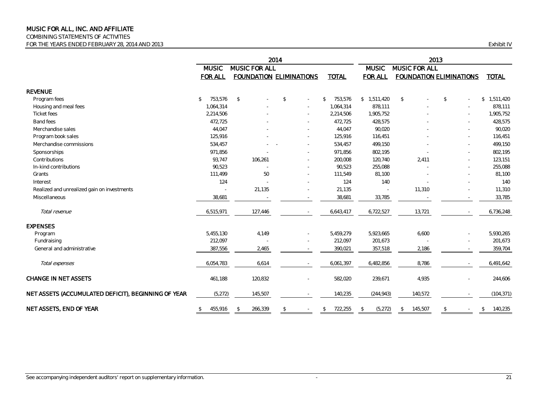#### COMBINING STATEMENTS OF ACTIVITIES

FOR THE YEARS ENDED FEBRUARY 28, 2014 AND 2013 Exhibit IV

|                                                     |                               |               |                                | 2014          |        | 2013                     |                               |               |                                |                 |  |  |  |
|-----------------------------------------------------|-------------------------------|---------------|--------------------------------|---------------|--------|--------------------------|-------------------------------|---------------|--------------------------------|-----------------|--|--|--|
|                                                     | MUSIC FOR ALL<br><b>MUSIC</b> |               |                                |               |        |                          | <b>MUSIC</b><br>MUSIC FOR ALL |               |                                |                 |  |  |  |
|                                                     | <b>FOR ALL</b>                |               | <b>FOUNDATION ELIMINATIONS</b> |               |        | <b>TOTAL</b>             | <b>FOR ALL</b>                |               | <b>FOUNDATION ELIMINATIONS</b> | <b>TOTAL</b>    |  |  |  |
| <b>REVENUE</b>                                      |                               |               |                                |               |        |                          |                               |               |                                |                 |  |  |  |
| Program fees                                        | 753,576<br>$\mathcal{L}$      | $\mathcal{L}$ |                                | \$            |        | 753,576<br>$\mathcal{S}$ | \$1,511,420                   | $\mathcal{L}$ | $\mathcal{L}$                  | 1,511,420<br>\$ |  |  |  |
| Housing and meal fees                               | 1,064,314                     |               |                                |               |        | 1,064,314                | 878,111                       |               |                                | 878,111         |  |  |  |
| Ticket fees                                         | 2,214,506                     |               |                                |               |        | 2,214,506                | 1,905,752                     |               |                                | 1,905,752       |  |  |  |
| Band fees                                           | 472,725                       |               |                                |               |        | 472,725                  | 428,575                       |               |                                | 428,575         |  |  |  |
| Merchandise sales                                   | 44,047                        |               |                                |               |        | 44,047                   | 90,020                        |               |                                | 90,020          |  |  |  |
| Program book sales                                  | 125,916                       |               |                                |               |        | 125,916                  | 116,451                       |               |                                | 116,451         |  |  |  |
| Merchandise commissions                             | 534,457                       |               |                                |               | $\sim$ | 534,457                  | 499,150                       |               |                                | 499,150         |  |  |  |
| Sponsorships                                        | 971,856                       |               |                                |               |        | 971,856                  | 802,195                       |               |                                | 802,195         |  |  |  |
| Contributions                                       | 93,747                        |               | 106,261                        |               | $\sim$ | 200,008                  | 120,740                       | 2,411         |                                | 123,151         |  |  |  |
| In-kind contributions                               | 90,523                        |               |                                |               |        | 90,523                   | 255,088                       |               |                                | 255,088         |  |  |  |
| Grants                                              | 111,499                       |               | 50                             |               |        | 111,549                  | 81,100                        |               |                                | 81,100          |  |  |  |
| Interest                                            | 124                           |               |                                |               | $\sim$ | 124                      | 140                           |               |                                | 140             |  |  |  |
| Realized and unrealized gain on investments         | $\sim$                        |               | 21,135                         |               |        | 21,135                   | $\overline{\phantom{a}}$      | 11,310        |                                | 11,310          |  |  |  |
| Miscellaneous                                       | 38,681                        |               |                                |               |        | 38,681                   | 33,785                        |               |                                | 33,785          |  |  |  |
| Total revenue                                       | 6,515,971                     |               | 127,446                        |               |        | 6,643,417                | 6,722,527                     | 13,721        |                                | 6,736,248       |  |  |  |
| <b>EXPENSES</b>                                     |                               |               |                                |               |        |                          |                               |               |                                |                 |  |  |  |
| Program                                             | 5,455,130                     |               | 4,149                          |               |        | 5,459,279                | 5,923,665                     | 6,600         |                                | 5,930,265       |  |  |  |
| Fundraising                                         | 212,097                       |               |                                |               |        | 212,097                  | 201,673                       |               |                                | 201,673         |  |  |  |
| General and administrative                          | 387,556                       |               | 2,465                          |               |        | 390,021                  | 357,518                       | 2,186         |                                | 359,704         |  |  |  |
| Total expenses                                      | 6,054,783                     |               | 6,614                          |               |        | 6,061,397                | 6,482,856                     | 8,786         |                                | 6,491,642       |  |  |  |
| <b>CHANGE IN NET ASSETS</b>                         | 461,188                       |               | 120,832                        |               |        | 582,020                  | 239,671                       | 4,935         |                                | 244,606         |  |  |  |
| NET ASSETS (ACCUMULATED DEFICIT), BEGINNING OF YEAR | (5, 272)                      |               | 145,507                        |               |        | 140,235                  | (244, 943)                    | 140,572       |                                | (104, 371)      |  |  |  |
| NET ASSETS, END OF YEAR                             | 455,916<br>\$                 | \$            | 266,339                        | $\mathcal{L}$ |        | 722,255<br>\$            | (5,272)<br>$\mathcal{L}$      | 145,507<br>\$ | \$                             | 140,235<br>\$   |  |  |  |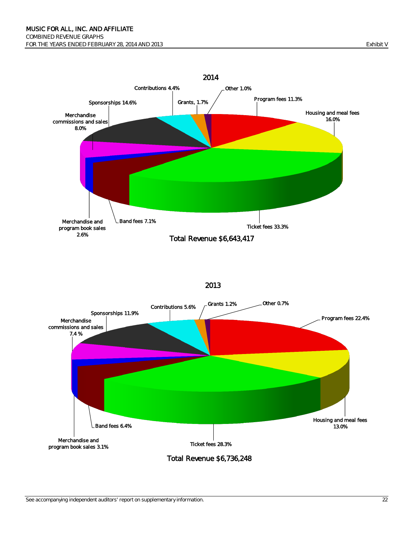

#### <sup>2013</sup>